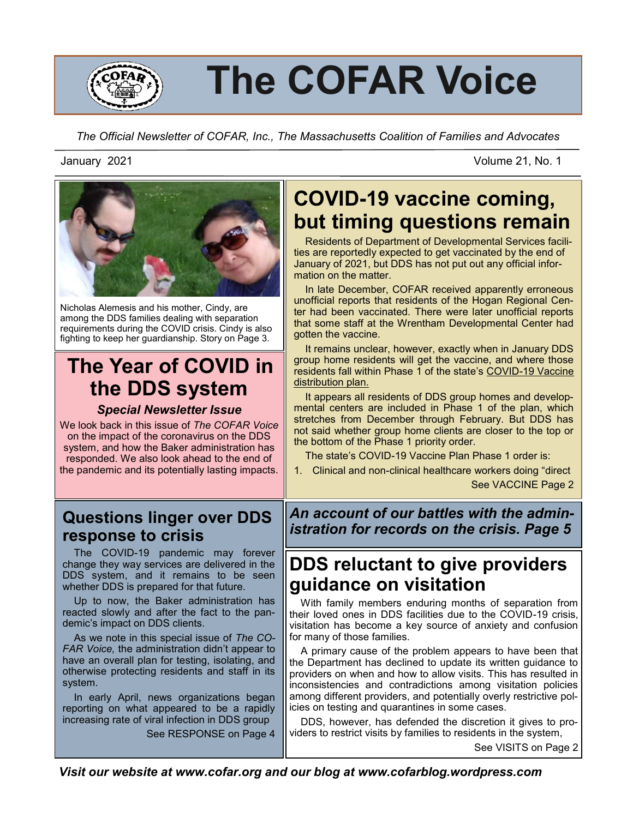

# **The COFAR Voice**

*The Official Newsletter of COFAR, Inc., The Massachusetts Coalition of Families and Advocates*

January 2021 Volume 21, No. 1



Nicholas Alemesis and his mother, Cindy, are among the DDS families dealing with separation requirements during the COVID crisis. Cindy is also fighting to keep her guardianship. Story on Page 3.

# **The Year of COVID in the DDS system**

*Special Newsletter Issue*

We look back in this issue of *The COFAR Voice*  on the impact of the coronavirus on the DDS system, and how the Baker administration has responded. We also look ahead to the end of the pandemic and its potentially lasting impacts.

# **Questions linger over DDS response to crisis**

 The COVID-19 pandemic may forever change they way services are delivered in the DDS system, and it remains to be seen whether DDS is prepared for that future.

 Up to now, the Baker administration has reacted slowly and after the fact to the pandemic's impact on DDS clients.

 As we note in this special issue of *The CO-FAR Voice,* the administration didn't appear to have an overall plan for testing, isolating, and otherwise protecting residents and staff in its system.

 In early April, news organizations began reporting on what appeared to be a rapidly increasing rate of viral infection in DDS group See RESPONSE on Page 4

# **COVID-19 vaccine coming, but timing questions remain**

 Residents of Department of Developmental Services facilities are reportedly expected to get vaccinated by the end of January of 2021, but DDS has not put out any official information on the matter.

 In late December, COFAR received apparently erroneous unofficial reports that residents of the Hogan Regional Center had been vaccinated. There were later unofficial reports that some staff at the Wrentham Developmental Center had gotten the vaccine.

 It remains unclear, however, exactly when in January DDS group home residents will get the vaccine, and where those residents fall within Phase 1 of the state's COVID-[19 Vaccine](https://www.mass.gov/covid-19-vaccine-in-massachusetts)  [distribution plan.](https://www.mass.gov/covid-19-vaccine-in-massachusetts)

 It appears all residents of DDS group homes and developmental centers are included in Phase 1 of the plan, which stretches from December through February. But DDS has not said whether group home clients are closer to the top or the bottom of the Phase 1 priority order.

The state's COVID-19 Vaccine Plan Phase 1 order is:

1. Clinical and non-clinical healthcare workers doing "direct

See VACCINE Page 2

*An account of our battles with the administration for records on the crisis. Page 5*

# **DDS reluctant to give providers guidance on visitation**

 With family members enduring months of separation from their loved ones in DDS facilities due to the COVID-19 crisis, visitation has become a key source of anxiety and confusion for many of those families.

 A primary cause of the problem appears to have been that the Department has declined to update its written guidance to providers on when and how to allow visits. This has resulted in inconsistencies and contradictions among visitation policies among different providers, and potentially overly restrictive policies on testing and quarantines in some cases.

 DDS, however, has defended the discretion it gives to providers to restrict visits by families to residents in the system,

See VISITS on Page 2

*Visit our website at www.cofar.org and our blog at www.cofarblog.wordpress.com*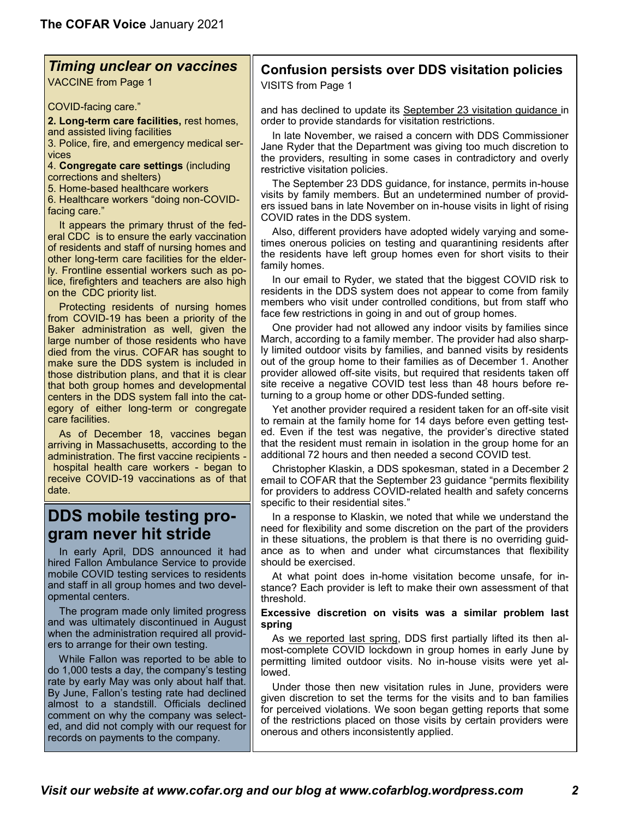### *Timing unclear on vaccines*

VACCINE from Page 1

COVID-facing care."

**2. Long-term care facilities,** rest homes, and assisted living facilities

3. Police, fire, and emergency medical services

4. **Congregate care settings** (including corrections and shelters)

5. Home-based healthcare workers

6. Healthcare workers "doing non-COVIDfacing care."

 It appears the primary thrust of the federal CDC is to ensure the early vaccination of residents and staff of nursing homes and other long-term care facilities for the elderly. Frontline essential workers such as police, firefighters and teachers are also high on the CDC priority list.

 Protecting residents of nursing homes from COVID-19 has been a priority of the Baker administration as well, given the large number of those residents who have died from the virus. COFAR has sought to make sure the DDS system is included in those distribution plans, and that it is clear that both group homes and developmental centers in the DDS system fall into the category of either long-term or congregate care facilities.

 As of December 18, vaccines began arriving in Massachusetts, according to the administration. The first vaccine recipients hospital health care workers - began to receive COVID-19 vaccinations as of that date.

### **DDS mobile testing program never hit stride**

 In early April, DDS announced it had hired Fallon Ambulance Service to provide mobile COVID testing services to residents and staff in all group homes and two developmental centers.

 The program made only limited progress and was ultimately discontinued in August when the administration required all providers to arrange for their own testing.

 While Fallon was reported to be able to do 1,000 tests a day, the company's testing rate by early May was only about half that. By June, Fallon's testing rate had declined almost to a standstill. Officials declined comment on why the company was selected, and did not comply with our request for records on payments to the company.

# **Confusion persists over DDS visitation policies**

VISITS from Page 1

and has declined to update its [September 23 visitation guidance](https://www.mass.gov/doc/updated-visitation-guidance-for-dds-residential-programs-sept2020/download) in order to provide standards for visitation restrictions.

 In late November, we raised a concern with DDS Commissioner Jane Ryder that the Department was giving too much discretion to the providers, resulting in some cases in contradictory and overly restrictive visitation policies.

 The September 23 DDS guidance, for instance, permits in-house visits by family members. But an undetermined number of providers issued bans in late November on in-house visits in light of rising COVID rates in the DDS system.

 Also, different providers have adopted widely varying and sometimes onerous policies on testing and quarantining residents after the residents have left group homes even for short visits to their family homes.

 In our email to Ryder, we stated that the biggest COVID risk to residents in the DDS system does not appear to come from family members who visit under controlled conditions, but from staff who face few restrictions in going in and out of group homes.

 One provider had not allowed any indoor visits by families since March, according to a family member. The provider had also sharply limited outdoor visits by families, and banned visits by residents out of the group home to their families as of December 1. Another provider allowed off-site visits, but required that residents taken off site receive a negative COVID test less than 48 hours before returning to a group home or other DDS-funded setting.

 Yet another provider required a resident taken for an off-site visit to remain at the family home for 14 days before even getting tested. Even if the test was negative, the provider's directive stated that the resident must remain in isolation in the group home for an additional 72 hours and then needed a second COVID test.

 Christopher Klaskin, a DDS spokesman, stated in a December 2 email to COFAR that the September 23 guidance "permits flexibility for providers to address COVID-related health and safety concerns specific to their residential sites."

 In a response to Klaskin, we noted that while we understand the need for flexibility and some discretion on the part of the providers in these situations, the problem is that there is no overriding guidance as to when and under what circumstances that flexibility should be exercised.

 At what point does in-home visitation become unsafe, for instance? Each provider is left to make their own assessment of that threshold.

#### **Excessive discretion on visits was a similar problem last spring**

As [we reported last spring,](https://cofarblog.com/2020/06/09/dds-allows-strictly-controlled-family-visitation-even-as-it-relaxes-covid-19-testing-requirements-on-providers/) DDS first partially lifted its then almost-complete COVID lockdown in group homes in early June by permitting limited outdoor visits. No in-house visits were yet allowed.

 Under those then new visitation rules in June, providers were given discretion to set the terms for the visits and to ban families for perceived violations. [We soon began getting reports](https://cofarblog.com/2020/06/16/onerous-and-inconsistent-restrictions-placed-in-some-cases-on-families-in-post-covid-lockdown-visits/) that some of the restrictions placed on those visits by certain providers were onerous and others inconsistently applied.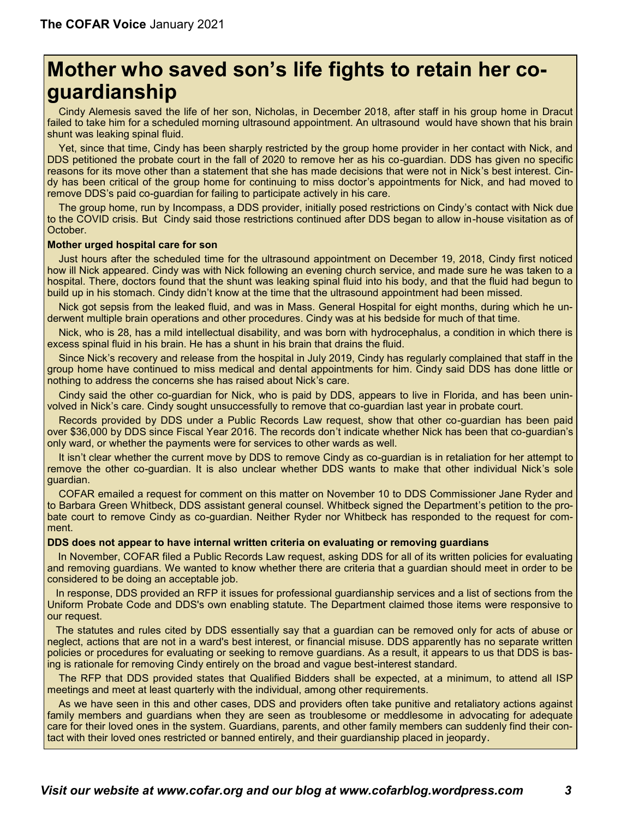# **Mother who saved son's life fights to retain her coguardianship**

 Cindy Alemesis saved the life of her son, Nicholas, in December 2018, after staff in his group home in Dracut failed to take him for a scheduled morning ultrasound appointment. An ultrasound would have shown that his brain shunt was leaking spinal fluid.

 Yet, since that time, Cindy has been sharply restricted by the group home provider in her contact with Nick, and DDS petitioned the probate court in the fall of 2020 to remove her as his co-guardian. DDS has given no specific reasons for its move other than a statement that she has made decisions that were not in Nick's best interest. Cindy has been critical of the group home for continuing to miss doctor's appointments for Nick, and had moved to remove DDS's paid co-guardian for failing to participate actively in his care.

 The group home, run by Incompass, a DDS provider, initially posed restrictions on Cindy's contact with Nick due to the COVID crisis. But Cindy said those restrictions continued after DDS began to allow in-house visitation as of October.

#### **Mother urged hospital care for son**

 Just hours after the scheduled time for the ultrasound appointment on December 19, 2018, Cindy first noticed how ill Nick appeared. Cindy was with Nick following an evening church service, and made sure he was taken to a hospital. There, doctors found that the shunt was leaking spinal fluid into his body, and that the fluid had begun to build up in his stomach. Cindy didn't know at the time that the ultrasound appointment had been missed.

 Nick got sepsis from the leaked fluid, and was in Mass. General Hospital for eight months, during which he underwent multiple brain operations and other procedures. Cindy was at his bedside for much of that time.

 Nick, who is 28, has a mild intellectual disability, and was born with hydrocephalus, a condition in which there is excess spinal fluid in his brain. He has a shunt in his brain that drains the fluid.

 Since Nick's recovery and release from the hospital in July 2019, Cindy has regularly complained that staff in the group home have continued to miss medical and dental appointments for him. Cindy said DDS has done little or nothing to address the concerns she has raised about Nick's care.

 Cindy said the other co-guardian for Nick, who is paid by DDS, appears to live in Florida, and has been uninvolved in Nick's care. Cindy sought unsuccessfully to remove that co-guardian last year in probate court.

 Records provided by DDS under a Public Records Law request, show that other co-guardian has been paid over \$36,000 by DDS since Fiscal Year 2016. The records don't indicate whether Nick has been that co-guardian's only ward, or whether the payments were for services to other wards as well.

 It isn't clear whether the current move by DDS to remove Cindy as co-guardian is in retaliation for her attempt to remove the other co-guardian. It is also unclear whether DDS wants to make that other individual Nick's sole guardian.

 COFAR emailed a request for comment on this matter on November 10 to DDS Commissioner Jane Ryder and to Barbara Green Whitbeck, DDS assistant general counsel. Whitbeck signed the Department's petition to the probate court to remove Cindy as co-guardian. Neither Ryder nor Whitbeck has responded to the request for comment.

#### **DDS does not appear to have internal written criteria on evaluating or removing guardians**

 In November, COFAR filed a Public Records Law request, asking DDS for all of its written policies for evaluating and removing guardians. We wanted to know whether there are criteria that a guardian should meet in order to be considered to be doing an acceptable job.

 In response, DDS provided an RFP it issues for professional guardianship services and a list of sections from the Uniform Probate Code and DDS's own enabling statute. The Department claimed those items were responsive to our request.

 The statutes and rules cited by DDS essentially say that a guardian can be removed only for acts of abuse or neglect, actions that are not in a ward's best interest, or financial misuse. DDS apparently has no separate written policies or procedures for evaluating or seeking to remove guardians. As a result, it appears to us that DDS is basing is rationale for removing Cindy entirely on the broad and vague best-interest standard.

 The RFP that DDS provided states that Qualified Bidders shall be expected, at a minimum, to attend all ISP meetings and meet at least quarterly with the individual, among other requirements.

 As we have seen in this and other cases, DDS and providers often take punitive and retaliatory actions against family members and guardians when they are seen as troublesome or meddlesome in advocating for adequate care for their loved ones in the system. Guardians, parents, and other family members can suddenly find their contact with their loved ones restricted or banned entirely, and their guardianship placed in jeopardy.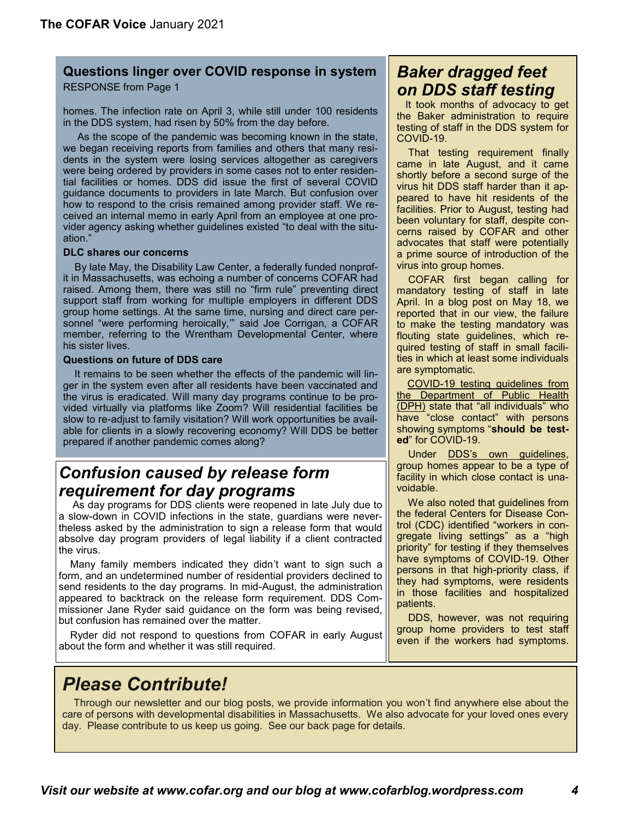#### **Questions linger over COVID response in system**

RESPONSE from Page 1

homes. The infection rate on April 3, while still under 100 residents in the DDS system, had risen by 50% from the day before.

 As the scope of the pandemic was becoming known in the state, we began receiving reports from families and others that many residents in the system were losing services altogether as caregivers were being ordered by providers in some cases not to enter residential facilities or homes. DDS did issue the first of several COVID guidance documents to providers in late March. But confusion over how to respond to the crisis remained among provider staff. We received an internal memo in early April from an employee at one provider agency asking whether guidelines existed "to deal with the situation<sup>'</sup>

#### **DLC shares our concerns**

 By late May, the Disability Law Center, a federally funded nonprofit in Massachusetts, was echoing a number of concerns COFAR had raised. Among them, there was still no "firm rule" preventing direct support staff from working for multiple employers in different DDS group home settings. At the same time, nursing and direct care personnel "were performing heroically,'" said Joe Corrigan, a COFAR member, referring to the Wrentham Developmental Center, where his sister lives.

#### **Questions on future of DDS care**

 It remains to be seen whether the effects of the pandemic will linger in the system even after all residents have been vaccinated and the virus is eradicated. Will many day programs continue to be provided virtually via platforms like Zoom? Will residential facilities be slow to re-adjust to family visitation? Will work opportunities be available for clients in a slowly recovering economy? Will DDS be better prepared if another pandemic comes along?

# *Confusion caused by release form requirement for day programs*

 As day programs for DDS clients were reopened in late July due to a slow-down in COVID infections in the state, guardians were nevertheless asked by the administration to sign a release form that would absolve day program providers of legal liability if a client contracted the virus.

 Many family members indicated they didn't want to sign such a form, and an undetermined number of residential providers declined to send residents to the day programs. In mid-August, the administration appeared to backtrack on the release form requirement. DDS Commissioner Jane Ryder said guidance on the form was being revised, but confusion has remained over the matter.

 Ryder did not respond to questions from COFAR in early August about the form and whether it was still required.

# *Baker dragged feet on DDS staff testing*

 It took months of advocacy to get the Baker administration to require testing of staff in the DDS system for COVID-19.

 That testing requirement finally came in late August, and it came shortly before a second surge of the virus hit DDS staff harder than it appeared to have hit residents of the facilities. Prior to August, testing had been voluntary for staff, despite concerns raised by COFAR and other advocates that staff were potentially a prime source of introduction of the virus into group homes.

 COFAR first began calling for mandatory testing of staff in late April. In a blog post on May 18, we reported that in our view, the failure to make the testing mandatory was flouting state guidelines, which required testing of staff in small facilities in which at least some individuals are symptomatic.

COVID-[19 testing guidelines from](https://www.mass.gov/doc/covid-19-testing-guidance/download)  the Department of Public Health [\(DPH\)](https://www.mass.gov/doc/covid-19-testing-guidance/download) state that "all individuals" who have "close contact" with persons showing symptoms "**should be tested**" for COVID-19.

Under **DDS's own guidelines,** group homes appear to be a type of facility in which close contact is unavoidable.

 We also noted that [guidelines from](https://www.cdc.gov/coronavirus/2019-nCoV/hcp/clinical-criteria.html)  [the federal Centers for Disease Con](https://www.cdc.gov/coronavirus/2019-nCoV/hcp/clinical-criteria.html)[trol \(CDC\)](https://www.cdc.gov/coronavirus/2019-nCoV/hcp/clinical-criteria.html) identified "workers in congregate living settings" as a "high priority" for testing if they themselves have symptoms of COVID-19. Other persons in that high-priority class, if they had symptoms, were residents in those facilities and hospitalized patients.

 DDS, however, was not requiring group home providers to test staff even if the workers had symptoms.

# *Please Contribute!*

 Through our newsletter and our blog posts, we provide information you won't find anywhere else about the care of persons with developmental disabilities in Massachusetts. We also advocate for your loved ones every day. Please contribute to us keep us going. See our back page for details.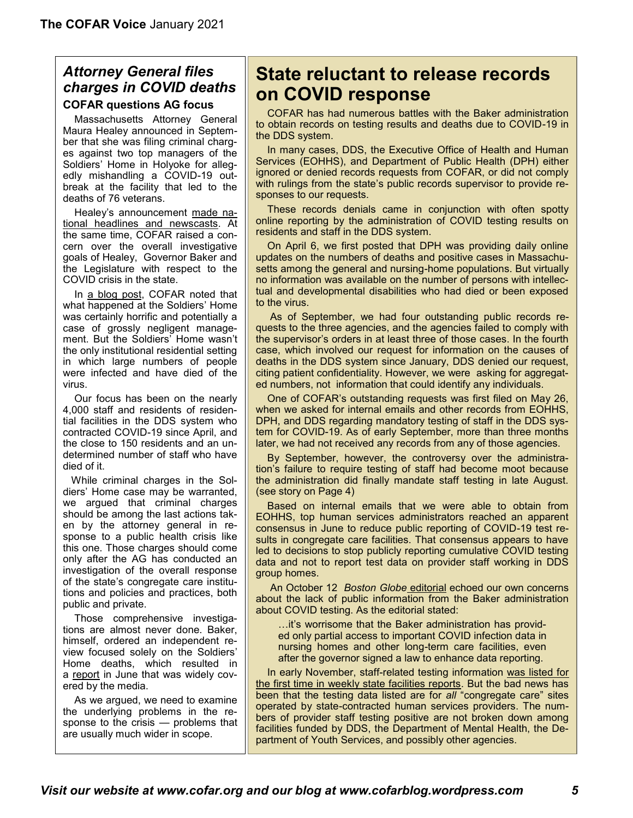### *Attorney General files charges in COVID deaths* **COFAR questions AG focus**

 Massachusetts Attorney General Maura Healey announced in September that she was filing criminal charges against two top managers of the Soldiers' Home in Holyoke for allegedly mishandling a COVID-19 outbreak at the facility that led to the deaths of 76 veterans.

 Healey's announcement [made na](https://www.cbsnews.com/news/coronavirus-holyoke-soldiers-home-deaths-2-charged/)[tional headlines and newscasts.](https://www.cbsnews.com/news/coronavirus-holyoke-soldiers-home-deaths-2-charged/) At the same time, COFAR [raised a con](https://cofarblog.com/2020/09/27/the-states-attorney-general-needs-to-do-more-than-follow-and-grab-covid-media-headlines/)[cern](https://cofarblog.com/2020/09/27/the-states-attorney-general-needs-to-do-more-than-follow-and-grab-covid-media-headlines/) over the overall investigative goals of Healey, Governor Baker and the Legislature with respect to the COVID crisis in the state.

 In [a blog post,](https://cofarblog.com/2020/09/27/the-states-attorney-general-needs-to-do-more-than-follow-and-grab-covid-media-headlines/) COFAR noted that what happened at the Soldiers' Home was certainly horrific and potentially a case of grossly negligent management. But the Soldiers' Home wasn't the only institutional residential setting in which large numbers of people were infected and have died of the virus.

 Our focus has been on the nearly 4,000 staff and residents of residential facilities in the DDS system who contracted COVID-19 since April, and the close to 150 residents and an undetermined number of staff who have died of it.

While criminal charges in the Soldiers' Home case may be warranted, we argued that criminal charges should be among the last actions taken by the attorney general in response to a public health crisis like this one. Those charges should come only after the AG has conducted an investigation of the overall response of the state's congregate care institutions and policies and practices, both public and private.

 Those comprehensive investigations are almost never done. Baker, himself, ordered an independent review focused solely on the Soldiers' Home deaths, which resulted in a [report](https://www.wbur.org/news/2020/06/24/pearlstein-baker-report-holyoke-soldiers-home-coronavirus) in June that was widely covered by the media.

 As we argued, we need to examine the underlying problems in the response to the crisis — problems that are usually much wider in scope.

# **State reluctant to release records on COVID response**

 COFAR has had numerous battles with the Baker administration to obtain records on testing results and deaths due to COVID-19 in the DDS system.

 In many cases, DDS, the Executive Office of Health and Human Services (EOHHS), and Department of Public Health (DPH) either ignored or denied records requests from COFAR, or did not comply with rulings from the state's public records supervisor to provide responses to our requests.

 These records denials came in conjunction with often spotty online reporting by the administration of COVID testing results on residents and staff in the DDS system.

 On April 6, we first posted that DPH was providing daily online updates on the numbers of deaths and positive cases in Massachusetts among the general and nursing-home populations. But virtually no information was available on the number of persons with intellectual and developmental disabilities who had died or been exposed to the virus.

 As of September, we had four outstanding public records requests to the three agencies, and the agencies failed to comply with the supervisor's orders in at least three of those cases. In the fourth case, which involved our request for information on the causes of deaths in the DDS system since January, DDS denied our request, citing patient confidentiality. However, we were asking for aggregated numbers, not information that could identify any individuals.

 One of COFAR's outstanding requests was first filed on May 26, when we asked for internal emails and other records from EOHHS, DPH, and DDS regarding mandatory testing of staff in the DDS system for COVID-19. As of early September, more than three months later, we had not received any records from any of those agencies.

 By September, however, the controversy over the administration's failure to require testing of staff had become moot because the administration did finally mandate staff testing in late August. (see story on Page 4)

 Based on internal emails that we were able to obtain from EOHHS, top human services administrators reached an apparent consensus in June to reduce public reporting of COVID-19 test results in congregate care facilities. That consensus appears to have led to decisions to stop publicly reporting cumulative COVID testing data and not to report test data on provider staff working in DDS group homes.

 An October 12 *[Boston Globe](https://www.bostonglobe.com/2020/10/12/opinion/why-is-baker-so-reluctant-disclose-vital-covid-19-information/)* editorial echoed our own concerns about the lack of public information from the Baker administration about COVID testing. As the editorial stated:

…it's worrisome that the Baker administration has provided only partial access to important COVID infection data in nursing homes and other long-term care facilities, even after the governor signed a law to enhance data reporting.

 In early November, staff-related testing information [was listed for](https://www.mass.gov/info-details/eohhs-covid-19-reporting#state-operated-facilities-and-congregate-care-site-data-)  [the first time in weekly state facilities reports.](https://www.mass.gov/info-details/eohhs-covid-19-reporting#state-operated-facilities-and-congregate-care-site-data-) But the bad news has been that the testing data listed are for *all* "congregate care" sites operated by state-contracted human services providers. The numbers of provider staff testing positive are not broken down among facilities funded by DDS, the Department of Mental Health, the Department of Youth Services, and possibly other agencies.